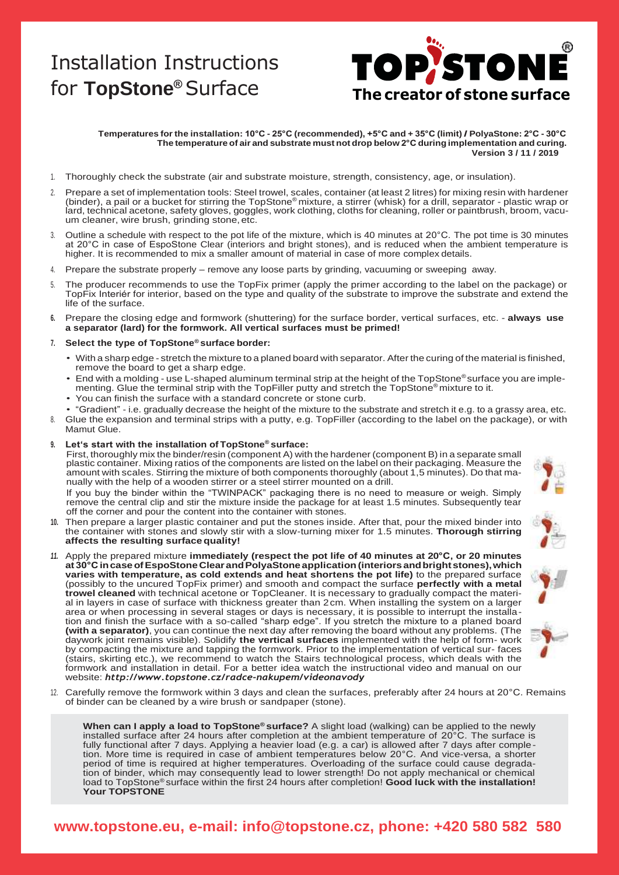# Installation Instructions



#### Temperatures for the installation: 10°C - 25°C (recommended), +5°C and + 35°C (limit) / PolyaStone: 2°C - 30°C **The temperature of air and substrate must not drop below 2°C during implementation and curing. Version 3 / 11 / 2019**

- 1. Thoroughly check the substrate (air and substrate moisture, strength, consistency, age, or insulation).
- Prepare a set of implementation tools: Steel trowel, scales, container (at least 2 litres) for mixing resin with hardener (binder), a pail or a bucket for stirring the TopStone® mixture, a stirrer (whisk) for a drill, separator - plastic wrap or lard, technical acetone, safety gloves, goggles, work clothing, cloths for cleaning, roller or paintbrush, broom, vacuum cleaner, wire brush, grinding stone,etc.
- 3. Outline a schedule with respect to the pot life of the mixture, which is 40 minutes at 20°C. The pot time is 30 minutes at 20°C in case of EspoStone Clear (interiors and bright stones), and is reduced when the ambient temperature is higher. It is recommended to mix a smaller amount of material in case of more complex details.
- 4. Prepare the substrate properly remove any loose parts by grinding, vacuuming or sweeping away.
- The producer recommends to use the TopFix primer (apply the primer according to the label on the package) or TopFix Interiér for interior, based on the type and quality of the substrate to improve the substrate and extend the life of the surface.
- **6.** Prepare the closing edge and formwork (shuttering) for the surface border, vertical surfaces, etc. **always use a separator (lard) for the formwork. All vertical surfaces must be primed!**

#### **7. Select the type of TopStone® surface border:**

- With a sharp edge stretch the mixture to a planed board with separator. After the curing of the material is finished, remove the board to get a sharp edge.
- End with a molding use L-shaped aluminum terminal strip at the height of the TopStone® surface you are implementing. Glue the terminal strip with the TopFiller putty and stretch the TopStone® mixture to it.
- You can finish the surface with a standard concrete or stone curb.
- "Gradient" i.e. gradually decrease the height of the mixture to the substrate and stretch it e.g. to a grassy area, etc. 8. Glue the expansion and terminal strips with a putty, e.g. TopFiller (according to the label on the package), or with
- Mamut Glue.
- **9. Let's start with the installation of TopStone® surface:**

First, thoroughly mix the binder/resin (component A) with the hardener (component B) in a separate small plastic container. Mixing ratios of the components are listed on the label on their packaging. Measure the amount with scales. Stirring the mixture of both components thoroughly (about 1,5 minutes). Do that manually with the help of a wooden stirrer or a steel stirrer mounted on a drill.

If you buy the binder within the "TWINPACK" packaging there is no need to measure or weigh. Simply remove the central clip and stir the mixture inside the package for at least 1.5 minutes. Subsequently tear off the corner and pour the content into the container with stones.

- **10.** Then prepare a larger plastic container and put the stones inside. After that, pour the mixed binder into the container with stones and slowly stir with a slow-turning mixer for 1.5 minutes. **Thorough stirring affects the resulting surfacequality!**
- *11.* Apply the prepared mixture **immediately (respect the pot life of 40 minutes at 20°C, or 20 minutes at30°CincaseofEspoStoneClearandPolyaStoneapplication(interiorsandbrightstones),which varies with temperature, as cold extends and heat shortens the pot life)** to the prepared surface (possibly to the uncured TopFix primer) and smooth and compact the surface **perfectly with a metal trowel cleaned** with technical acetone or TopCleaner. It is necessary to gradually compact the material in layers in case of surface with thickness greater than 2cm. When installing the system on a larger area or when processing in several stages or days is necessary, it is possible to interrupt the installation and finish the surface with a so-called "sharp edge". If you stretch the mixture to a planed board **(with a separator)**, you can continue the next day after removing the board without any problems. (The daywork joint remains visible). Solidify **the vertical surfaces** implemented with the help of form- work by compacting the mixture and tapping the formwork. Prior to the implementation of vertical sur- faces (stairs, skirting etc.), we recommend to watch the Stairs technological process, which deals with the formwork and installation in detail. For a better idea watch the instructional video and manual on our website: *<http://www.topstone.cz/radce-nakupem/videonavody>*
- 12. Carefully remove the formwork within 3 days and clean the surfaces, preferably after 24 hours at 20°C. Remains of binder can be cleaned by a wire brush or sandpaper (stone).

**When can I apply a load to TopStone® surface?** A slight load (walking) can be applied to the newly installed surface after 24 hours after completion at the ambient temperature of 20°C. The surface is fully functional after 7 days. Applying a heavier load (e.g. a car) is allowed after 7 days after completion. More time is required in case of ambient temperatures below 20°C. And vice-versa, a shorter period of time is required at higher temperatures. Overloading of the surface could cause degradation of binder, which may consequently lead to lower strength! Do not apply mechanical or chemical load to TopStone® surface within the first 24 hours after completion! **Good luck with the installation! Your TOPSTONE**